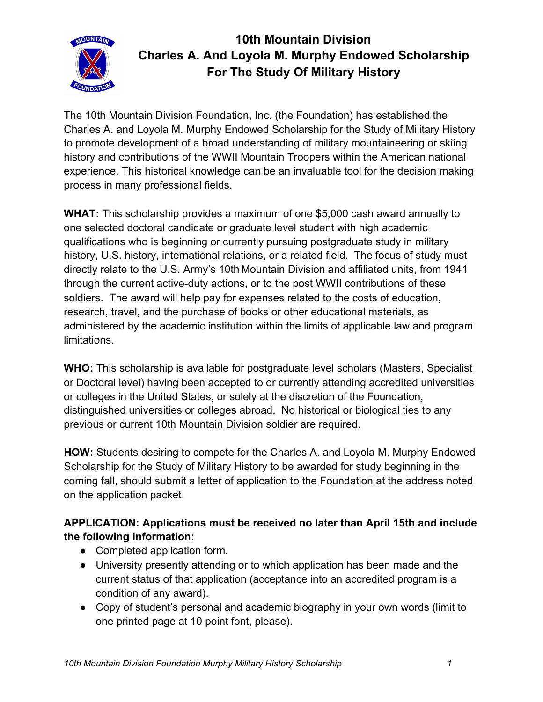

## **10th Mountain Division Charles A. And Loyola M. Murphy Endowed Scholarship For The Study Of Military History**

The 10th Mountain Division Foundation, Inc. (the Foundation) has established the Charles A. and Loyola M. Murphy Endowed Scholarship for the Study of Military History to promote development of a broad understanding of military mountaineering or skiing history and contributions of the WWII Mountain Troopers within the American national experience. This historical knowledge can be an invaluable tool for the decision making process in many professional fields.

**WHAT:** This scholarship provides a maximum of one \$5,000 cash award annually to one selected doctoral candidate or graduate level student with high academic qualifications who is beginning or currently pursuing postgraduate study in military history, U.S. history, international relations, or a related field. The focus of study must directly relate to the U.S. Army's 10th Mountain Division and affiliated units, from 1941 through the current active-duty actions, or to the post WWII contributions of these soldiers. The award will help pay for expenses related to the costs of education, research, travel, and the purchase of books or other educational materials, as administered by the academic institution within the limits of applicable law and program limitations.

**WHO:** This scholarship is available for postgraduate level scholars (Masters, Specialist or Doctoral level) having been accepted to or currently attending accredited universities or colleges in the United States, or solely at the discretion of the Foundation, distinguished universities or colleges abroad. No historical or biological ties to any previous or current 10th Mountain Division soldier are required.

**HOW:** Students desiring to compete for the Charles A. and Loyola M. Murphy Endowed Scholarship for the Study of Military History to be awarded for study beginning in the coming fall, should submit a letter of application to the Foundation at the address noted on the application packet.

## **APPLICATION: Applications must be received no later than April 15th and include the following information:**

- Completed application form.
- University presently attending or to which application has been made and the current status of that application (acceptance into an accredited program is a condition of any award).
- Copy of student's personal and academic biography in your own words (limit to one printed page at 10 point font, please).